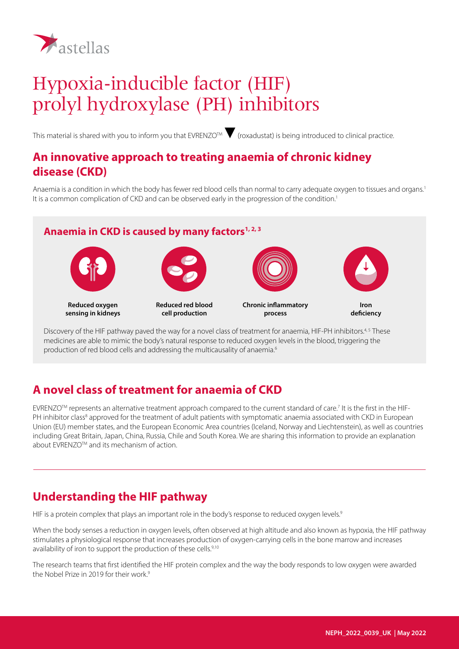

# Hypoxia-inducible factor (HIF) prolyl hydroxylase (PH) inhibitors

This material is shared with you to inform you that EVRENZO™ (roxadustat) is being introduced to clinical practice.

#### **An innovative approach to treating anaemia of chronic kidney disease (CKD)**

Anaemia is a condition in which the body has fewer red blood cells than normal to carry adequate oxygen to tissues and organs.<sup>1</sup> It is a common complication of CKD and can be observed early in the progression of the condition.<sup>1</sup>

#### Anaemia in CKD is caused by many factors<sup>1, 2, 3</sup>



**Reduced oxygen sensing in kidneys**



**Reduced red blood cell production**



**Chronic inflammatory process**



**deficiency**

Discovery of the HIF pathway paved the way for a novel class of treatment for anaemia, HIF-PH inhibitors.<sup>4,5</sup> These medicines are able to mimic the body's natural response to reduced oxygen levels in the blood, triggering the production of red blood cells and addressing the multicausality of anaemia.<sup>6</sup>

## **A novel class of treatment for anaemia of CKD**

EVRENZO™ represents an alternative treatment approach compared to the current standard of care.<sup>7</sup> It is the first in the HIF-PH inhibitor class<sup>8</sup> approved for the treatment of adult patients with symptomatic anaemia associated with CKD in European Union (EU) member states, and the European Economic Area countries (Iceland, Norway and Liechtenstein), as well as countries including Great Britain, Japan, China, Russia, Chile and South Korea. We are sharing this information to provide an explanation about EVRENZOTM and its mechanism of action.

## **Understanding the HIF pathway**

HIF is a protein complex that plays an important role in the body's response to reduced oxygen levels.<sup>9</sup>

When the body senses a reduction in oxygen levels, often observed at high altitude and also known as hypoxia, the HIF pathway stimulates a physiological response that increases production of oxygen-carrying cells in the bone marrow and increases availability of iron to support the production of these cells.<sup>9,10</sup>

The research teams that first identified the HIF protein complex and the way the body responds to low oxygen were awarded the Nobel Prize in 2019 for their work.<sup>9</sup>